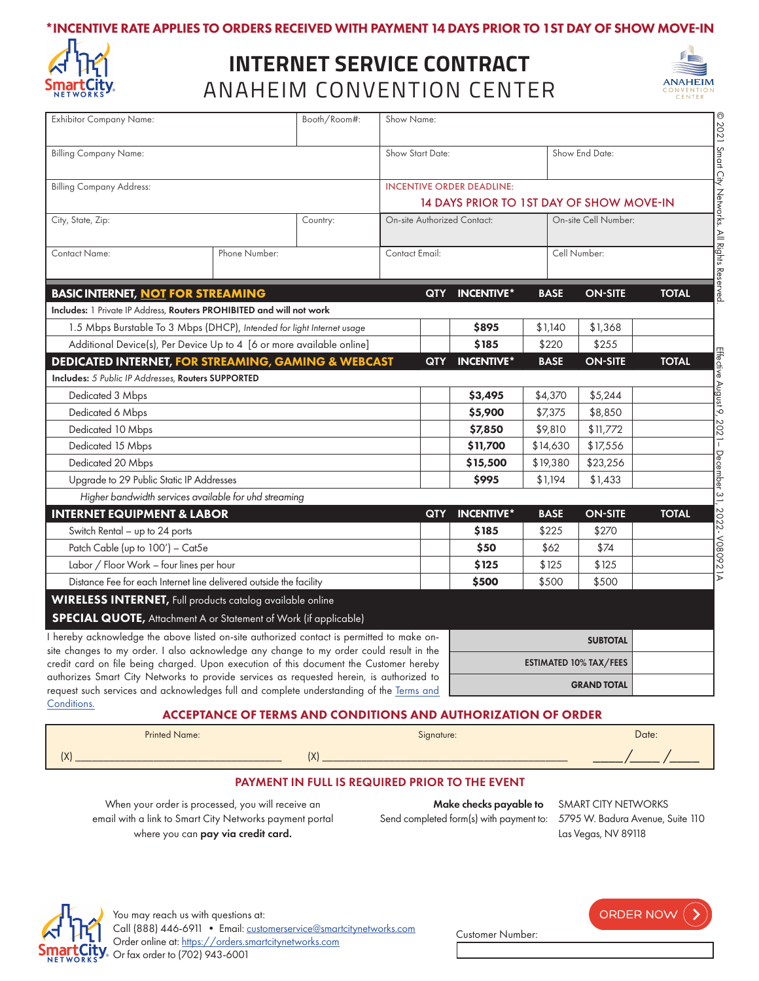



# ANAHEIM CONVENTION CENTER **INTERNET SERVICE CONTRACT**



| <b>Exhibitor Company Name:</b>                                                                                                                                                                                                                                                 |               | Booth/Room#:                             | Show Name:                       |                   |                      |                |              |  |
|--------------------------------------------------------------------------------------------------------------------------------------------------------------------------------------------------------------------------------------------------------------------------------|---------------|------------------------------------------|----------------------------------|-------------------|----------------------|----------------|--------------|--|
| <b>Billing Company Name:</b>                                                                                                                                                                                                                                                   |               |                                          | Show Start Date:                 |                   |                      | Show End Date: |              |  |
| <b>Billing Company Address:</b>                                                                                                                                                                                                                                                |               |                                          | <b>INCENTIVE ORDER DEADLINE:</b> |                   |                      |                |              |  |
|                                                                                                                                                                                                                                                                                |               | 14 DAYS PRIOR TO 1ST DAY OF SHOW MOVE-IN |                                  |                   |                      |                |              |  |
| City, State, Zip:                                                                                                                                                                                                                                                              |               | Country:                                 | On-site Authorized Contact:      |                   | On-site Cell Number: |                |              |  |
| <b>Contact Name:</b>                                                                                                                                                                                                                                                           | Phone Number: |                                          | Contact Email:                   |                   | Cell Number:         |                |              |  |
| <b>BASIC INTERNET, NOT FOR STREAMING</b>                                                                                                                                                                                                                                       |               |                                          | QTY                              | <b>INCENTIVE*</b> | <b>BASE</b>          | <b>ON-SITE</b> | <b>TOTAL</b> |  |
| Includes: 1 Private IP Address, Routers PROHIBITED and will not work                                                                                                                                                                                                           |               |                                          |                                  |                   |                      |                |              |  |
| 1.5 Mbps Burstable To 3 Mbps (DHCP), Intended for light Internet usage                                                                                                                                                                                                         |               |                                          |                                  | \$895             | \$1,140              | \$1,368        |              |  |
| Additional Device(s), Per Device Up to 4 [6 or more available online]                                                                                                                                                                                                          |               |                                          |                                  | \$185             | \$220                | \$255          |              |  |
| <b>DEDICATED INTERNET, FOR STREAMING, GAMING &amp; WEBCAST</b>                                                                                                                                                                                                                 |               |                                          | <b>QTY</b>                       | <b>INCENTIVE*</b> | <b>BASE</b>          | <b>ON-SITE</b> | <b>TOTAL</b> |  |
| <b>Includes:</b> 5 Public IP Addresses, Routers SUPPORTED                                                                                                                                                                                                                      |               |                                          |                                  |                   |                      |                |              |  |
| Dedicated 3 Mbps                                                                                                                                                                                                                                                               |               |                                          |                                  | \$3,495           | \$4,370              | \$5,244        |              |  |
| Dedicated 6 Mbps                                                                                                                                                                                                                                                               |               |                                          |                                  | \$5,900           | \$7,375              | \$8,850        |              |  |
| Dedicated 10 Mbps                                                                                                                                                                                                                                                              |               |                                          |                                  | \$7,850           | \$9,810              | \$11,772       |              |  |
| Dedicated 15 Mbps                                                                                                                                                                                                                                                              |               |                                          |                                  | \$11,700          | \$14,630             | \$17,556       |              |  |
| Dedicated 20 Mbps                                                                                                                                                                                                                                                              |               |                                          |                                  | \$15,500          | \$19,380             | \$23,256       |              |  |
| Upgrade to 29 Public Static IP Addresses                                                                                                                                                                                                                                       |               |                                          |                                  | \$995             | \$1,194              | \$1,433        |              |  |
| Higher bandwidth services available for uhd streaming                                                                                                                                                                                                                          |               |                                          |                                  |                   |                      |                |              |  |
| <b>INTERNET EQUIPMENT &amp; LABOR</b>                                                                                                                                                                                                                                          |               |                                          | <b>QTY</b>                       | <b>INCENTIVE*</b> | <b>BASE</b>          | <b>ON-SITE</b> | <b>TOTAL</b> |  |
| Switch Rental - up to 24 ports                                                                                                                                                                                                                                                 |               |                                          |                                  | \$185             | \$225                | \$270          |              |  |
| Patch Cable (up to 100') - Cat5e                                                                                                                                                                                                                                               |               |                                          |                                  | \$50              | \$62                 | \$74           |              |  |
| Labor / Floor Work - four lines per hour                                                                                                                                                                                                                                       |               |                                          |                                  | \$125             | \$125                | \$125          |              |  |
| Distance Fee for each Internet line delivered outside the facility                                                                                                                                                                                                             |               |                                          | \$500                            | \$500             | \$500                |                |              |  |
| <b>WIRELESS INTERNET</b> , Full products catalog available online                                                                                                                                                                                                              |               |                                          |                                  |                   |                      |                |              |  |
| <b>SPECIAL QUOTE, Attachment A or Statement of Work (if applicable)</b>                                                                                                                                                                                                        |               |                                          |                                  |                   |                      |                |              |  |
| I hereby acknowledge the above listed on-site authorized contact is permitted to make on-<br>site changes to my order. I also acknowledge any change to my order could result in the<br>credit card on file being charged. Upon execution of this document the Customer hereby |               |                                          | <b>SUBTOTAL</b>                  |                   |                      |                |              |  |
|                                                                                                                                                                                                                                                                                |               |                                          | <b>ESTIMATED 10% TAX/FEES</b>    |                   |                      |                |              |  |
| authorizes Smart City Networks to provide services as requested herein, is authorized to<br>request such services and acknowledges full and complete understanding of the Terms and                                                                                            |               |                                          | <b>GRAND TOTAL</b>               |                   |                      |                |              |  |

[Conditions.](https://cdn-public.smartcitynetworks.com/tcforms/099/TNC.pdf?ver=1628880143)

### ACCEPTANCE OF TERMS AND CONDITIONS AND AUTHORIZATION OF ORDER

| <b>Printed Name:</b> | Signature: | Date: |
|----------------------|------------|-------|
| (X)                  | $\sqrt{ }$ |       |

#### PAYMENT IN FULL IS REQUIRED PRIOR TO THE EVENT

When your order is processed, you will receive an email with a link to Smart City Networks payment portal where you can pay via credit card.

Make checks payable to SMART CITY NETWORKS Send completed form(s) with payment to: 5795 W. Badura Avenue, Suite 110

Las Vegas, NV 89118

ORDER NOW (



Customer Number: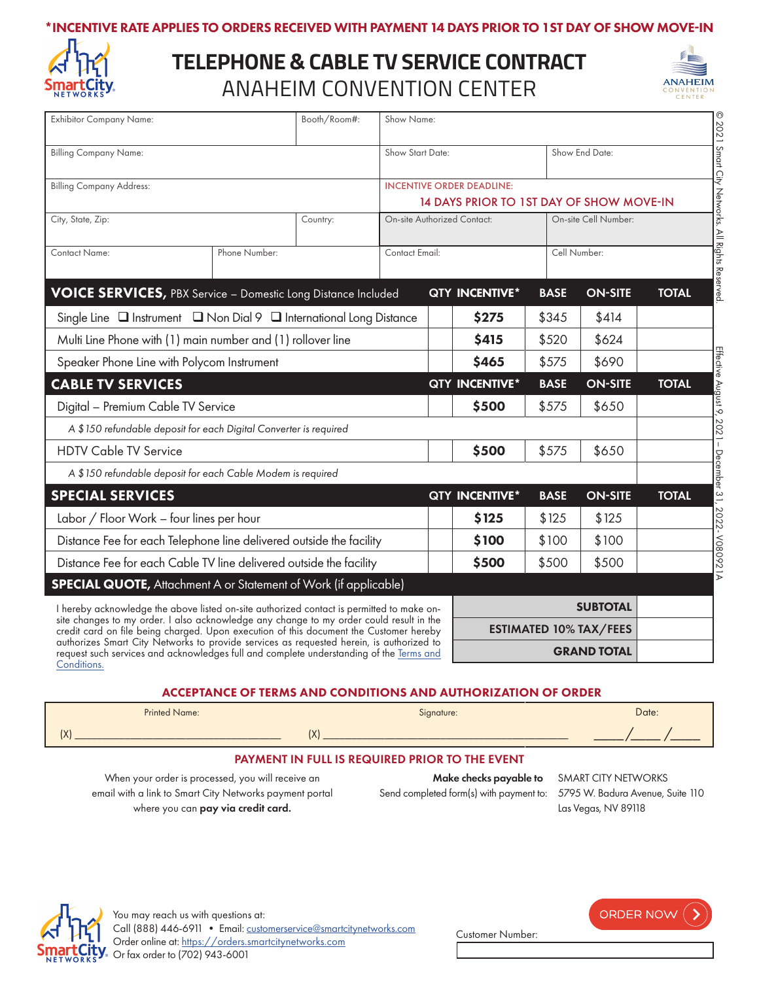



# **TELEPHONE & CABLE TV SERVICE CONTRACT** ANAHEIM CONVENTION CENTER



| <b>Exhibitor Company Name:</b>                                                                                                                                                                                                                                                                                                                                                                                                                                                             | Booth/Room#:  |                                    | Show Name:                       |                    |                                          |                      |                |              |
|--------------------------------------------------------------------------------------------------------------------------------------------------------------------------------------------------------------------------------------------------------------------------------------------------------------------------------------------------------------------------------------------------------------------------------------------------------------------------------------------|---------------|------------------------------------|----------------------------------|--------------------|------------------------------------------|----------------------|----------------|--------------|
| <b>Billing Company Name:</b>                                                                                                                                                                                                                                                                                                                                                                                                                                                               |               |                                    | Show Start Date:                 |                    |                                          | Show End Date:       |                |              |
| <b>Billing Company Address:</b>                                                                                                                                                                                                                                                                                                                                                                                                                                                            |               |                                    | <b>INCENTIVE ORDER DEADLINE:</b> |                    |                                          |                      |                |              |
|                                                                                                                                                                                                                                                                                                                                                                                                                                                                                            |               |                                    |                                  |                    | 14 DAYS PRIOR TO 1ST DAY OF SHOW MOVE-IN |                      |                |              |
| City, State, Zip:<br>Country:                                                                                                                                                                                                                                                                                                                                                                                                                                                              |               | <b>On-site Authorized Contact:</b> |                                  |                    |                                          | On-site Cell Number: |                |              |
| <b>Contact Name:</b>                                                                                                                                                                                                                                                                                                                                                                                                                                                                       | Phone Number: |                                    | Contact Email:                   |                    | Cell Number:                             |                      |                |              |
| <b>VOICE SERVICES, PBX Service - Domestic Long Distance Included</b>                                                                                                                                                                                                                                                                                                                                                                                                                       |               |                                    |                                  |                    | <b>QTY INCENTIVE*</b>                    | <b>BASE</b>          | <b>ON-SITE</b> | <b>TOTAL</b> |
| Single Line $\Box$ Instrument $\Box$ Non Dial 9 $\Box$ International Long Distance                                                                                                                                                                                                                                                                                                                                                                                                         |               |                                    |                                  |                    | \$275                                    | \$345                | \$414          |              |
| Multi Line Phone with (1) main number and (1) rollover line                                                                                                                                                                                                                                                                                                                                                                                                                                |               |                                    |                                  | \$415              | \$520                                    | \$624                |                |              |
| Speaker Phone Line with Polycom Instrument                                                                                                                                                                                                                                                                                                                                                                                                                                                 |               |                                    |                                  |                    | \$465                                    | \$575                | \$690          |              |
| <b>CABLE TV SERVICES</b>                                                                                                                                                                                                                                                                                                                                                                                                                                                                   |               |                                    |                                  |                    | QTY INCENTIVE*                           | <b>BASE</b>          | <b>ON-SITE</b> | <b>TOTAL</b> |
| Digital - Premium Cable TV Service                                                                                                                                                                                                                                                                                                                                                                                                                                                         |               |                                    |                                  |                    | \$500                                    | \$575                | \$650          |              |
| A \$150 refundable deposit for each Digital Converter is required                                                                                                                                                                                                                                                                                                                                                                                                                          |               |                                    |                                  |                    |                                          |                      |                |              |
| <b>HDTV Cable TV Service</b>                                                                                                                                                                                                                                                                                                                                                                                                                                                               |               |                                    |                                  |                    | \$500                                    | \$575                | \$650          |              |
| A \$150 refundable deposit for each Cable Modem is required                                                                                                                                                                                                                                                                                                                                                                                                                                |               |                                    |                                  |                    |                                          |                      |                |              |
| <b>SPECIAL SERVICES</b>                                                                                                                                                                                                                                                                                                                                                                                                                                                                    |               |                                    |                                  |                    | QTY INCENTIVE*                           | <b>BASE</b>          | <b>ON-SITE</b> | <b>TOTAL</b> |
| Labor / Floor Work - four lines per hour                                                                                                                                                                                                                                                                                                                                                                                                                                                   |               |                                    |                                  |                    | \$125                                    | \$125                | \$125          |              |
| Distance Fee for each Telephone line delivered outside the facility                                                                                                                                                                                                                                                                                                                                                                                                                        |               |                                    |                                  | \$100              | \$100                                    | \$100                |                |              |
| Distance Fee for each Cable TV line delivered outside the facility                                                                                                                                                                                                                                                                                                                                                                                                                         |               |                                    |                                  |                    | \$500                                    | \$500                | \$500          |              |
| <b>SPECIAL QUOTE, Attachment A or Statement of Work (if applicable)</b>                                                                                                                                                                                                                                                                                                                                                                                                                    |               |                                    |                                  |                    |                                          |                      |                |              |
| I hereby acknowledge the above listed on-site authorized contact is permitted to make on-<br>site changes to my order. I also acknowledge any change to my order could result in the<br>credit card on file being charged. Upon execution of this document the Customer hereby<br>authorizes Smart City Networks to provide services as requested herein, is authorized to<br>request such services and acknowledges full and complete understanding of the Terms and<br><b>Conditions</b> |               |                                    |                                  | <b>SUBTOTAL</b>    |                                          |                      |                |              |
|                                                                                                                                                                                                                                                                                                                                                                                                                                                                                            |               |                                    |                                  |                    | <b>ESTIMATED 10% TAX/FEES</b>            |                      |                |              |
|                                                                                                                                                                                                                                                                                                                                                                                                                                                                                            |               |                                    |                                  | <b>GRAND TOTAL</b> |                                          |                      |                |              |

### ACCEPTANCE OF TERMS AND CONDITIONS AND AUTHORIZATION OF ORDER

| <b>Printed Name:</b>             | Signature: | Date: |  |  |  |
|----------------------------------|------------|-------|--|--|--|
| 111<br>$\lfloor \Lambda \rfloor$ | $\sqrt{ }$ |       |  |  |  |
|                                  |            |       |  |  |  |

### PAYMENT IN FULL IS REQUIRED PRIOR TO THE EVENT

When your order is processed, you will receive an email with a link to Smart City Networks payment portal where you can pay via credit card.

Make checks payable to SMART CITY NETWORKS

Send completed form(s) with payment to: 5795 W. Badura Avenue, Suite 110 Las Vegas, NV 89118



ORDER NOW ()

Customer Number: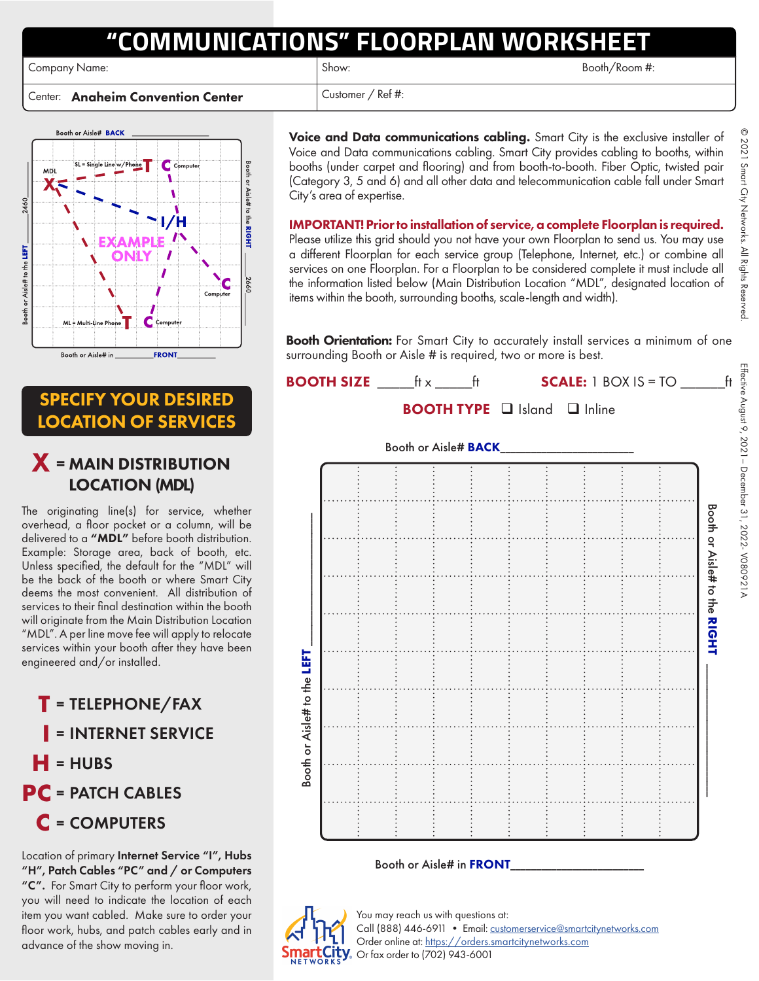# **"COMMUNICATIONS" FLOORPLAN WORKSHEET**

Company Name: Show: Show: Show: Show: Show: Show: Booth/Room #:

Center: Anaheim Convention Center  $\vert$  Customer / Ref #:



Voice and Data communications cabling. Smart City is the exclusive installer of Voice and Data communications cabling. Smart City provides cabling to booths, within booths (under carpet and flooring) and from booth-to-booth. Fiber Optic, twisted pair (Category 3, 5 and 6) and all other data and telecommunication cable fall under Smart City's area of expertise.

IMPORTANT! Prior to installation of service, a complete Floorplan is required. Please utilize this grid should you not have your own Floorplan to send us. You may use a different Floorplan for each service group (Telephone, Internet, etc.) or combine all services on one Floorplan. For a Floorplan to be considered complete it must include all the information listed below (Main Distribution Location "MDL", designated location of items within the booth, surrounding booths, scale-length and width).

Booth Orientation: For Smart City to accurately install services a minimum of one surrounding Booth or Aisle # is required, two or more is best.



© 2021

Smart City Networks. All Rights Reserved.

 $\frac{1}{2}$ 

SPECIFY YOUR DESIRED LOCATION OF SERVICES

# X <sup>=</sup> MAIN DISTRIBUTION LOCATION (MDL)

The originating line(s) for service, whether overhead, a floor pocket or a column, will be delivered to a "MDL" before booth distribution. Example: Storage area, back of booth, etc. Unless specified, the default for the "MDL" will be the back of the booth or where Smart City deems the most convenient. All distribution of services to their final destination within the booth will originate from the Main Distribution Location "MDL". A per line move fee will apply to relocate services within your booth after they have been engineered and/or installed.

**T** <sup>=</sup>TELEPHONE/FAX **I** <sup>=</sup>INTERNET SERVICE  $=$ HUBS **PC** = PATCH CABLES **C** <sup>=</sup>COMPUTERS

Location of primary Internet Service "I", Hubs "H", Patch Cables "PC" and / or Computers "C". For Smart City to perform your floor work, you will need to indicate the location of each item you want cabled. Make sure to order your floor work, hubs, and patch cables early and in advance of the show moving in.

You may reach us with questions at: Call (888) 446-6911 • Email: [customerservice@smartcitynetworks.com](mailto:customerservice%40smartcitynetworks.com?subject=) Order online at:<https://orders.smartcitynetworks.com> Or fax order to (702) 943-6001